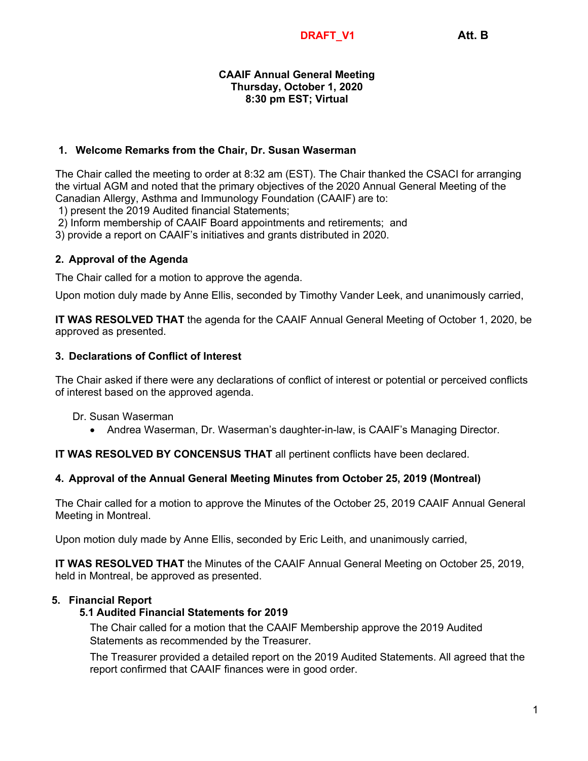#### **CAAIF Annual General Meeting Thursday, October 1, 2020 8:30 pm EST; Virtual**

### **1. Welcome Remarks from the Chair, Dr. Susan Waserman**

The Chair called the meeting to order at 8:32 am (EST). The Chair thanked the CSACI for arranging the virtual AGM and noted that the primary objectives of the 2020 Annual General Meeting of the Canadian Allergy, Asthma and Immunology Foundation (CAAIF) are to:

1) present the 2019 Audited financial Statements;

2) Inform membership of CAAIF Board appointments and retirements; and

3) provide a report on CAAIF's initiatives and grants distributed in 2020.

### **2. Approval of the Agenda**

The Chair called for a motion to approve the agenda.

Upon motion duly made by Anne Ellis, seconded by Timothy Vander Leek, and unanimously carried,

**IT WAS RESOLVED THAT** the agenda for the CAAIF Annual General Meeting of October 1, 2020, be approved as presented.

### **3. Declarations of Conflict of Interest**

The Chair asked if there were any declarations of conflict of interest or potential or perceived conflicts of interest based on the approved agenda.

- Dr. Susan Waserman
	- Andrea Waserman, Dr. Waserman's daughter-in-law, is CAAIF's Managing Director.

**IT WAS RESOLVED BY CONCENSUS THAT** all pertinent conflicts have been declared.

### **4. Approval of the Annual General Meeting Minutes from October 25, 2019 (Montreal)**

The Chair called for a motion to approve the Minutes of the October 25, 2019 CAAIF Annual General Meeting in Montreal.

Upon motion duly made by Anne Ellis, seconded by Eric Leith, and unanimously carried,

**IT WAS RESOLVED THAT** the Minutes of the CAAIF Annual General Meeting on October 25, 2019, held in Montreal, be approved as presented.

### **5. Financial Report**

# **5.1 Audited Financial Statements for 2019**

The Chair called for a motion that the CAAIF Membership approve the 2019 Audited Statements as recommended by the Treasurer.

The Treasurer provided a detailed report on the 2019 Audited Statements. All agreed that the report confirmed that CAAIF finances were in good order.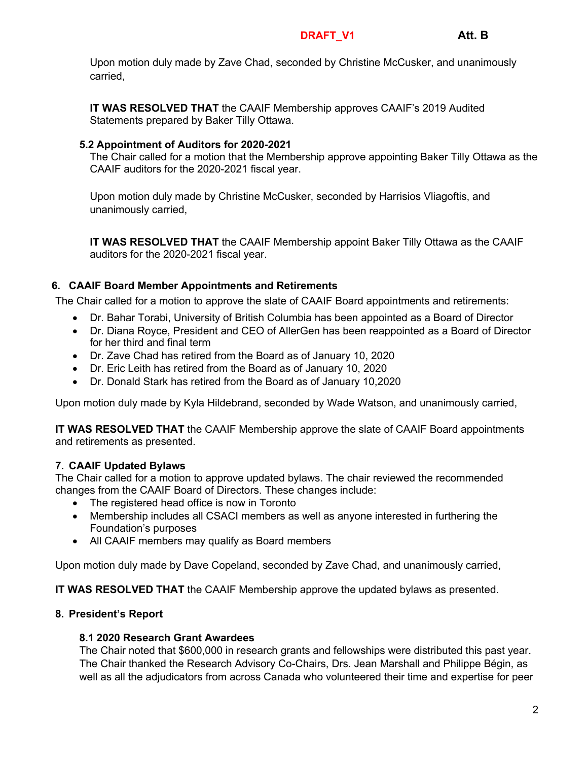#### **DRAFT\_V1 Att. B**

Upon motion duly made by Zave Chad, seconded by Christine McCusker, and unanimously carried,

**IT WAS RESOLVED THAT** the CAAIF Membership approves CAAIF's 2019 Audited Statements prepared by Baker Tilly Ottawa.

### **5.2 Appointment of Auditors for 2020-2021**

The Chair called for a motion that the Membership approve appointing Baker Tilly Ottawa as the CAAIF auditors for the 2020-2021 fiscal year.

Upon motion duly made by Christine McCusker, seconded by Harrisios Vliagoftis, and unanimously carried,

**IT WAS RESOLVED THAT** the CAAIF Membership appoint Baker Tilly Ottawa as the CAAIF auditors for the 2020-2021 fiscal year.

# **6. CAAIF Board Member Appointments and Retirements**

The Chair called for a motion to approve the slate of CAAIF Board appointments and retirements:

- Dr. Bahar Torabi, University of British Columbia has been appointed as a Board of Director
- Dr. Diana Royce, President and CEO of AllerGen has been reappointed as a Board of Director for her third and final term
- Dr. Zave Chad has retired from the Board as of January 10, 2020
- Dr. Eric Leith has retired from the Board as of January 10, 2020
- Dr. Donald Stark has retired from the Board as of January 10,2020

Upon motion duly made by Kyla Hildebrand, seconded by Wade Watson, and unanimously carried,

**IT WAS RESOLVED THAT** the CAAIF Membership approve the slate of CAAIF Board appointments and retirements as presented.

# **7. CAAIF Updated Bylaws**

The Chair called for a motion to approve updated bylaws. The chair reviewed the recommended changes from the CAAIF Board of Directors. These changes include:

- The registered head office is now in Toronto
- Membership includes all CSACI members as well as anyone interested in furthering the Foundation's purposes
- All CAAIF members may qualify as Board members

Upon motion duly made by Dave Copeland, seconded by Zave Chad, and unanimously carried,

**IT WAS RESOLVED THAT** the CAAIF Membership approve the updated bylaws as presented.

### **8. President's Report**

### **8.1 2020 Research Grant Awardees**

The Chair noted that \$600,000 in research grants and fellowships were distributed this past year. The Chair thanked the Research Advisory Co-Chairs, Drs. Jean Marshall and Philippe Bégin, as well as all the adjudicators from across Canada who volunteered their time and expertise for peer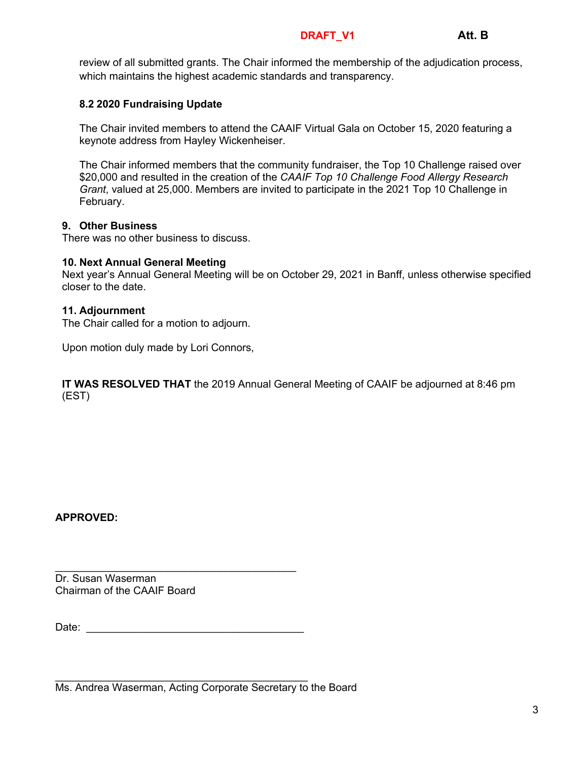#### **DRAFT\_V1 Att. B**

review of all submitted grants. The Chair informed the membership of the adjudication process, which maintains the highest academic standards and transparency.

## **8.2 2020 Fundraising Update**

The Chair invited members to attend the CAAIF Virtual Gala on October 15, 2020 featuring a keynote address from Hayley Wickenheiser.

The Chair informed members that the community fundraiser, the Top 10 Challenge raised over \$20,000 and resulted in the creation of the *CAAIF Top 10 Challenge Food Allergy Research Grant*, valued at 25,000. Members are invited to participate in the 2021 Top 10 Challenge in February.

### **9. Other Business**

There was no other business to discuss.

### **10. Next Annual General Meeting**

Next year's Annual General Meeting will be on October 29, 2021 in Banff, unless otherwise specified closer to the date.

### **11. Adjournment**

The Chair called for a motion to adjourn.

Upon motion duly made by Lori Connors,

**IT WAS RESOLVED THAT** the 2019 Annual General Meeting of CAAIF be adjourned at 8:46 pm (EST)

**APPROVED:**

Dr. Susan Waserman Chairman of the CAAIF Board

Date: \_\_\_\_\_\_\_\_\_\_\_\_\_\_\_\_\_\_\_\_\_\_\_\_\_\_\_\_\_\_\_\_\_\_\_\_\_

\_\_\_\_\_\_\_\_\_\_\_\_\_\_\_\_\_\_\_\_\_\_\_\_\_\_\_\_\_\_\_\_\_\_\_\_\_\_\_\_\_

\_\_\_\_\_\_\_\_\_\_\_\_\_\_\_\_\_\_\_\_\_\_\_\_\_\_\_\_\_\_\_\_\_\_\_\_\_\_\_\_\_\_\_ Ms. Andrea Waserman, Acting Corporate Secretary to the Board